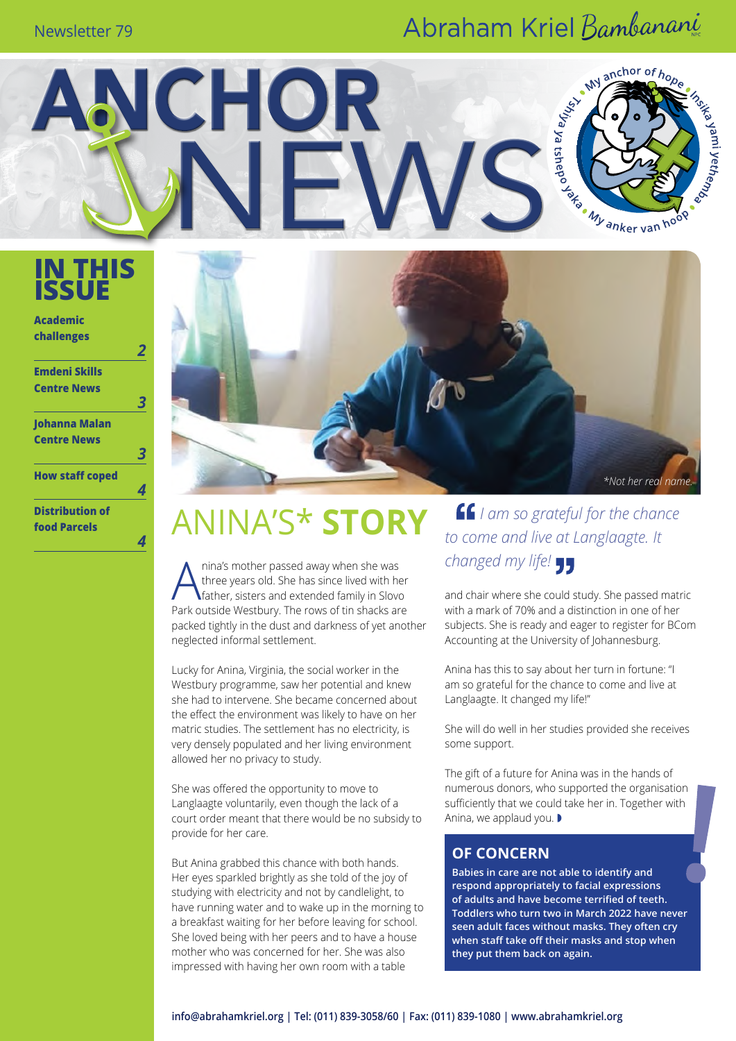### Newsletter 79

## Abraham Kriel Bambanani

**MY** 

anchor of  $h_{O_{\rho_{\alpha}}}$ 

a yami yetheng

**IN THIS ISSUE**

**Academic challenges**

| <b>Emdeni Skills</b>   |  |
|------------------------|--|
| <b>Centre News</b>     |  |
|                        |  |
| Johanna Malan          |  |
| <b>Centre News</b>     |  |
|                        |  |
| <b>How staff coped</b> |  |
|                        |  |
| <b>Distribution of</b> |  |
| <b>food Parcels</b>    |  |

*4*



# $ANINA'S* STORY$  *If I am so grateful for the chance*

NCHOR

Anina's mother passed away when she was<br>three years old. She has since lived with he<br>father, sisters and extended family in Slove three years old. She has since lived with her father, sisters and extended family in Slovo Park outside Westbury. The rows of tin shacks are packed tightly in the dust and darkness of yet another neglected informal settlement.

Lucky for Anina, Virginia, the social worker in the Westbury programme, saw her potential and knew she had to intervene. She became concerned about the effect the environment was likely to have on her matric studies. The settlement has no electricity, is very densely populated and her living environment allowed her no privacy to study.

She was offered the opportunity to move to Langlaagte voluntarily, even though the lack of a court order meant that there would be no subsidy to provide for her care.

But Anina grabbed this chance with both hands. Her eyes sparkled brightly as she told of the joy of studying with electricity and not by candlelight, to have running water and to wake up in the morning to a breakfast waiting for her before leaving for school. She loved being with her peers and to have a house mother who was concerned for her. She was also impressed with having her own room with a table

*to come and live at Langlaagte. It changed my life!*

and chair where she could study. She passed matric with a mark of 70% and a distinction in one of her subjects. She is ready and eager to register for BCom Accounting at the University of Johannesburg.

Anina has this to say about her turn in fortune: "I am so grateful for the chance to come and live at Langlaagte. It changed my life!"

She will do well in her studies provided she receives some support.

The gift of a future for Anina was in the hands of numerous donors, who supported the organisation sufficiently that we could take her in. Together with Anina, we applaud you.  $\blacktriangleright$ 

#### **Of concern**

**Babies in care are not able to identify and respond appropriately to facial expressions of adults and have become terrified of teeth. Toddlers who turn two in March 2022 have never seen adult faces without masks. They often cry when staff take off their masks and stop when they put them back on again.**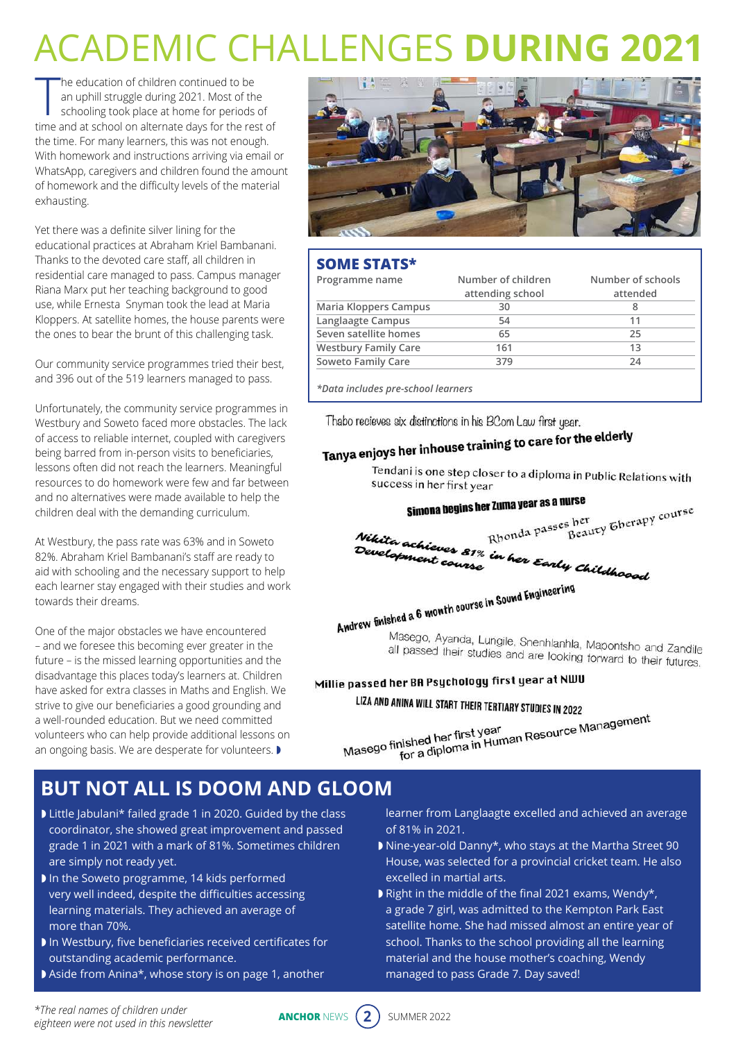# Academic challenges **during 2021**

The education of children continued to be<br>an uphill struggle during 2021. Most of the<br>schooling took place at home for periods of<br>time and at school on alternate days for the rest of he education of children continued to be an uphill struggle during 2021. Most of the schooling took place at home for periods of the time. For many learners, this was not enough. With homework and instructions arriving via email or WhatsApp, caregivers and children found the amount of homework and the difficulty levels of the material exhausting.

Yet there was a definite silver lining for the educational practices at Abraham Kriel Bambanani. Thanks to the devoted care staff, all children in residential care managed to pass. Campus manager Riana Marx put her teaching background to good use, while Ernesta Snyman took the lead at Maria Kloppers. At satellite homes, the house parents were the ones to bear the brunt of this challenging task.

Our community service programmes tried their best, and 396 out of the 519 learners managed to pass.

Unfortunately, the community service programmes in Westbury and Soweto faced more obstacles. The lack of access to reliable internet, coupled with caregivers being barred from in-person visits to beneficiaries, lessons often did not reach the learners. Meaningful resources to do homework were few and far between and no alternatives were made available to help the children deal with the demanding curriculum.

At Westbury, the pass rate was 63% and in Soweto 82%. Abraham Kriel Bambanani's staff are ready to aid with schooling and the necessary support to help each learner stay engaged with their studies and work towards their dreams.

One of the major obstacles we have encountered – and we foresee this becoming ever greater in the future – is the missed learning opportunities and the disadvantage this places today's learners at. Children have asked for extra classes in Maths and English. We strive to give our beneficiaries a good grounding and a well-rounded education. But we need committed volunteers who can help provide additional lessons on an ongoing basis. We are desperate for volunteers.  $\blacktriangleright$ 



### **Some stats\***

| Programme name              | Number of children | Number of schools |  |  |
|-----------------------------|--------------------|-------------------|--|--|
|                             | attending school   | attended          |  |  |
| Maria Kloppers Campus       | 30                 | 8                 |  |  |
| Langlaagte Campus           | 54                 | 11                |  |  |
| Seven satellite homes       | 65                 | 25                |  |  |
| <b>Westbury Family Care</b> | 161                | 13                |  |  |
| Soweto Family Care          | 379                | 24                |  |  |

*\*Data includes pre-school learners*

Thabo recieves six distinctions in his BCom Law first year.

# Tanya enjoys her inhouse training to care for the elderly

Tendani is one step closer to a diploma in Public Relations with success in her first year

## Simona begins her Zuma year as a nurse

s her<br>S her<br>Beauty Gherapy course Rhonda passes her Nikita achieves 81% in her Early Childhoood<br>Development course<br>All Course

# Andrew finished a 6 month course in Sound Engineering

Masego, Ayanda, Lungile, Snenhlanhla, Mapontsho and Zandile<br>all passed their studies and are looking fapontsho and Zandile maccgo, Ayarida, Lungile, Shenhlanhla, Mapontsho and Zandile<br>all passed their studies and are looking forward to their futures.

### Millie passed her BA Psychology first year at NWU

### LIZA AND ANINA WILL START THEIR TERTIARY STUDIES IN 2022

minimize sharp men remnant studies in 2022<br>nished her first year<br>for a diploma in Human Resource Management Masego finished her first year<br>for a diploma in Hur

### **But not all is doom and gloom**

- Little Jabulani\* failed grade 1 in 2020. Guided by the class coordinator, she showed great improvement and passed grade 1 in 2021 with a mark of 81%. Sometimes children are simply not ready yet.
- In the Soweto programme, 14 kids performed very well indeed, despite the difficulties accessing learning materials. They achieved an average of more than 70%.
- $\blacktriangleright$  In Westbury, five beneficiaries received certificates for outstanding academic performance.
- Aside from Anina\*, whose story is on page 1, another

learner from Langlaagte excelled and achieved an average of 81% in 2021.

- Nine-year-old Danny\*, who stays at the Martha Street 90 House, was selected for a provincial cricket team. He also excelled in martial arts.
- Right in the middle of the final 2021 exams, Wendy\*, a grade 7 girl, was admitted to the Kempton Park East satellite home. She had missed almost an entire year of school. Thanks to the school providing all the learning material and the house mother's coaching, Wendy managed to pass Grade 7. Day saved!

*\*The real names of children under eighteen were not used in this newsletter*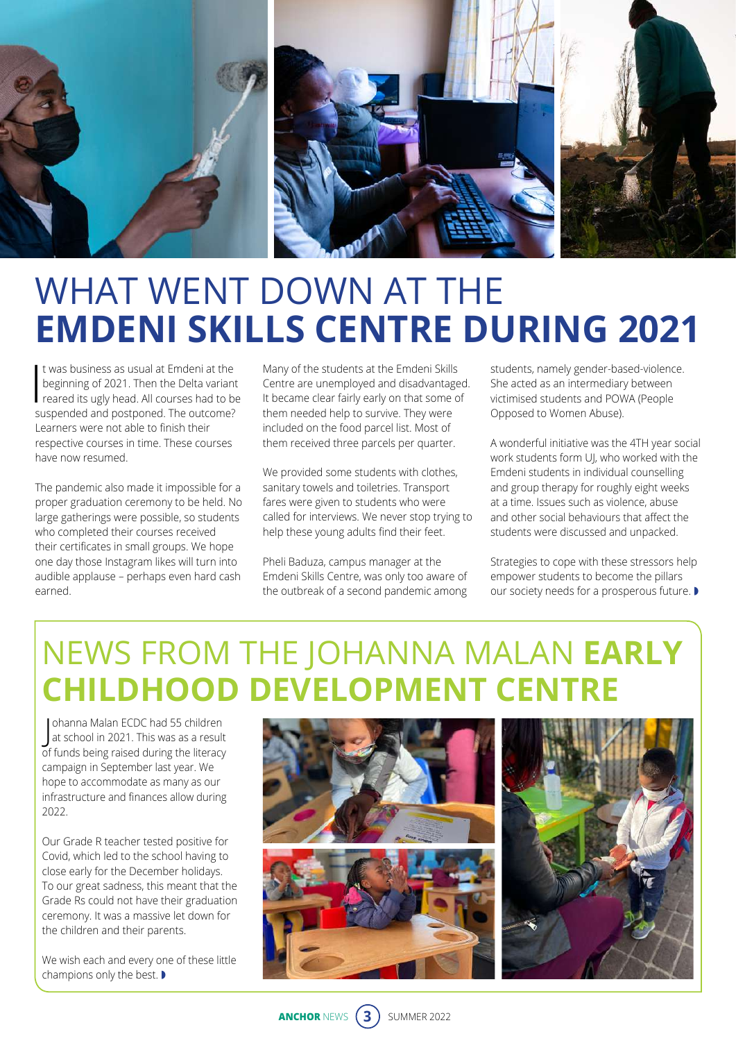

# WHAT WENT DOWN AT THE **Emdeni Skills Centre during 2021**

It was business as usual at Emdeni at the<br>beginning of 2021. Then the Delta variant<br>reared its ugly head. All courses had to be<br>suspended and pertanged. The outcome? t was business as usual at Emdeni at the beginning of 2021. Then the Delta variant suspended and postponed. The outcome? Learners were not able to finish their respective courses in time. These courses have now resumed.

The pandemic also made it impossible for a proper graduation ceremony to be held. No large gatherings were possible, so students who completed their courses received their certificates in small groups. We hope one day those Instagram likes will turn into audible applause – perhaps even hard cash earned.

Many of the students at the Emdeni Skills Centre are unemployed and disadvantaged. It became clear fairly early on that some of them needed help to survive. They were included on the food parcel list. Most of them received three parcels per quarter.

We provided some students with clothes, sanitary towels and toiletries. Transport fares were given to students who were called for interviews. We never stop trying to help these young adults find their feet.

Pheli Baduza, campus manager at the Emdeni Skills Centre, was only too aware of the outbreak of a second pandemic among

students, namely gender-based-violence. She acted as an intermediary between victimised students and POWA (People Opposed to Women Abuse).

A wonderful initiative was the 4TH year social work students form UJ, who worked with the Emdeni students in individual counselling and group therapy for roughly eight weeks at a time. Issues such as violence, abuse and other social behaviours that affect the students were discussed and unpacked.

Strategies to cope with these stressors help empower students to become the pillars our society needs for a prosperous future.

## News from the Johanna Malan **Early Childhood Development Centre**

J at school in 2021. This was as a result ohanna Malan ECDC had 55 children of funds being raised during the literacy campaign in September last year. We hope to accommodate as many as our infrastructure and finances allow during 2022.

Our Grade R teacher tested positive for Covid, which led to the school having to close early for the December holidays. To our great sadness, this meant that the Grade Rs could not have their graduation ceremony. It was a massive let down for the children and their parents.

We wish each and every one of these little champions only the best.  $\blacktriangleright$